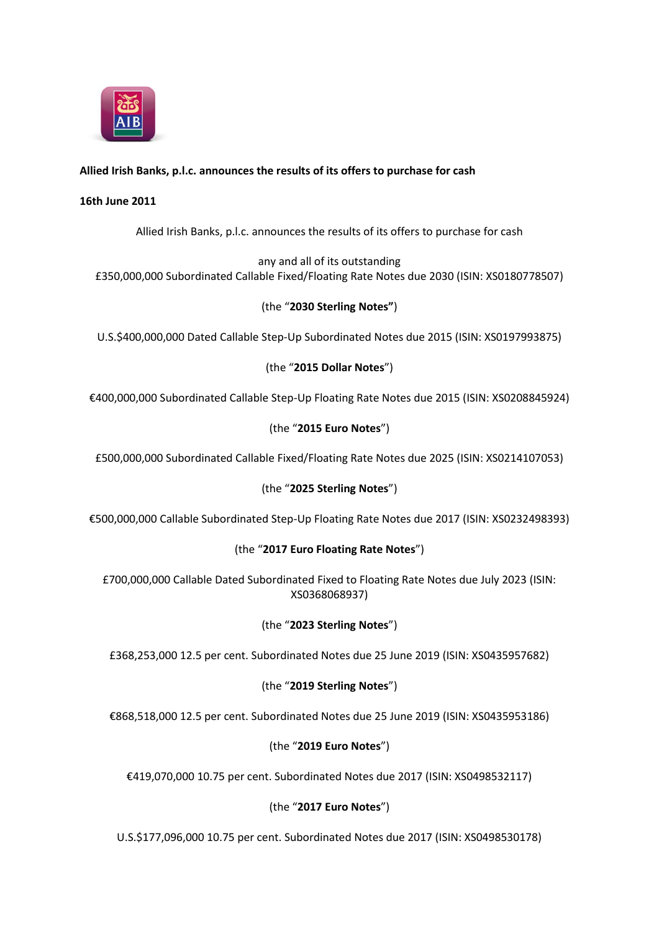

# **Allied Irish Banks, p.l.c. announces the results of its offers to purchase for cash**

#### **16th June 2011**

Allied Irish Banks, p.l.c. announces the results of its offers to purchase for cash

any and all of its outstanding £350,000,000 Subordinated Callable Fixed/Floating Rate Notes due 2030 (ISIN: XS0180778507)

## (the "**2030 Sterling Notes"**)

U.S.\$400,000,000 Dated Callable Step-Up Subordinated Notes due 2015 (ISIN: XS0197993875)

## (the "**2015 Dollar Notes**")

€400,000,000 Subordinated Callable Step-Up Floating Rate Notes due 2015 (ISIN: XS0208845924)

## (the "**2015 Euro Notes**")

£500,000,000 Subordinated Callable Fixed/Floating Rate Notes due 2025 (ISIN: XS0214107053)

## (the "**2025 Sterling Notes**")

€500,000,000 Callable Subordinated Step-Up Floating Rate Notes due 2017 (ISIN: XS0232498393)

## (the "**2017 Euro Floating Rate Notes**")

£700,000,000 Callable Dated Subordinated Fixed to Floating Rate Notes due July 2023 (ISIN: XS0368068937)

#### (the "**2023 Sterling Notes**")

£368,253,000 12.5 per cent. Subordinated Notes due 25 June 2019 (ISIN: XS0435957682)

## (the "**2019 Sterling Notes**")

€868,518,000 12.5 per cent. Subordinated Notes due 25 June 2019 (ISIN: XS0435953186)

#### (the "**2019 Euro Notes**")

€419,070,000 10.75 per cent. Subordinated Notes due 2017 (ISIN: XS0498532117)

## (the "**2017 Euro Notes**")

U.S.\$177,096,000 10.75 per cent. Subordinated Notes due 2017 (ISIN: XS0498530178)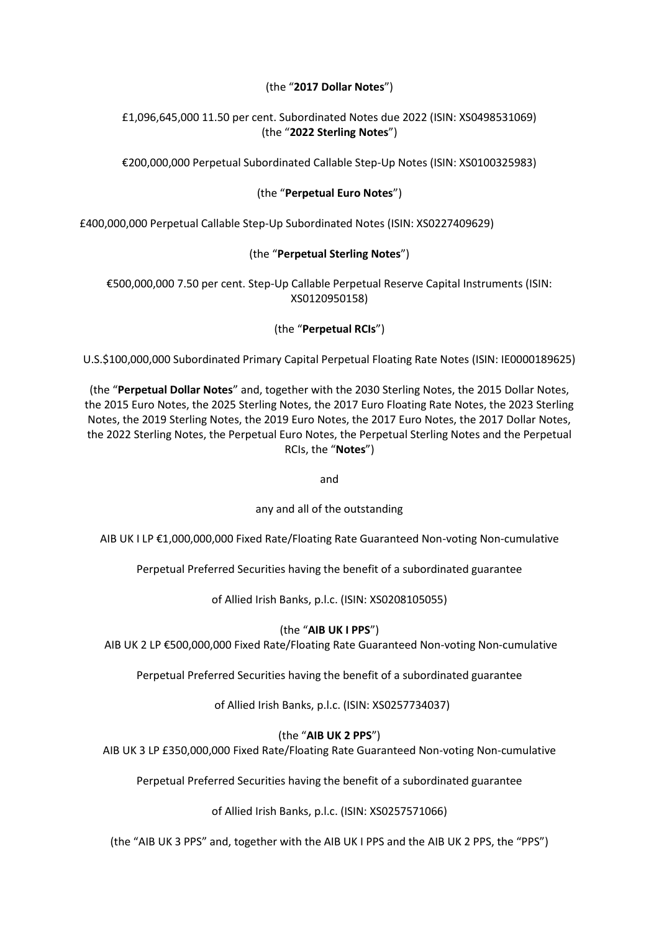## (the "**2017 Dollar Notes**")

## £1,096,645,000 11.50 per cent. Subordinated Notes due 2022 (ISIN: XS0498531069) (the "**2022 Sterling Notes**")

€200,000,000 Perpetual Subordinated Callable Step-Up Notes (ISIN: XS0100325983)

## (the "**Perpetual Euro Notes**")

£400,000,000 Perpetual Callable Step-Up Subordinated Notes (ISIN: XS0227409629)

# (the "**Perpetual Sterling Notes**")

€500,000,000 7.50 per cent. Step-Up Callable Perpetual Reserve Capital Instruments (ISIN: XS0120950158)

## (the "**Perpetual RCIs**")

U.S.\$100,000,000 Subordinated Primary Capital Perpetual Floating Rate Notes (ISIN: IE0000189625)

(the "**Perpetual Dollar Notes**" and, together with the 2030 Sterling Notes, the 2015 Dollar Notes, the 2015 Euro Notes, the 2025 Sterling Notes, the 2017 Euro Floating Rate Notes, the 2023 Sterling Notes, the 2019 Sterling Notes, the 2019 Euro Notes, the 2017 Euro Notes, the 2017 Dollar Notes, the 2022 Sterling Notes, the Perpetual Euro Notes, the Perpetual Sterling Notes and the Perpetual RCIs, the "**Notes**")

and

any and all of the outstanding

AIB UK I LP €1,000,000,000 Fixed Rate/Floating Rate Guaranteed Non-voting Non-cumulative

Perpetual Preferred Securities having the benefit of a subordinated guarantee

of Allied Irish Banks, p.l.c. (ISIN: XS0208105055)

## (the "**AIB UK I PPS**")

AIB UK 2 LP €500,000,000 Fixed Rate/Floating Rate Guaranteed Non-voting Non-cumulative

Perpetual Preferred Securities having the benefit of a subordinated guarantee

of Allied Irish Banks, p.l.c. (ISIN: XS0257734037)

## (the "**AIB UK 2 PPS**")

AIB UK 3 LP £350,000,000 Fixed Rate/Floating Rate Guaranteed Non-voting Non-cumulative

Perpetual Preferred Securities having the benefit of a subordinated guarantee

of Allied Irish Banks, p.l.c. (ISIN: XS0257571066)

(the "AIB UK 3 PPS" and, together with the AIB UK I PPS and the AIB UK 2 PPS, the "PPS")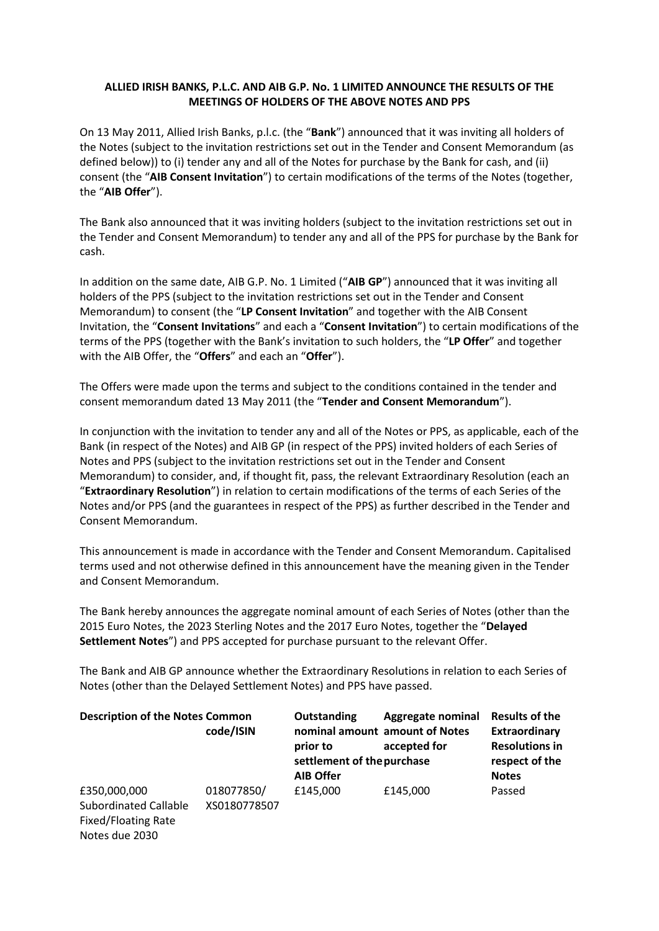### **ALLIED IRISH BANKS, P.L.C. AND AIB G.P. No. 1 LIMITED ANNOUNCE THE RESULTS OF THE MEETINGS OF HOLDERS OF THE ABOVE NOTES AND PPS**

On 13 May 2011, Allied Irish Banks, p.l.c. (the "**Bank**") announced that it was inviting all holders of the Notes (subject to the invitation restrictions set out in the Tender and Consent Memorandum (as defined below)) to (i) tender any and all of the Notes for purchase by the Bank for cash, and (ii) consent (the "**AIB Consent Invitation**") to certain modifications of the terms of the Notes (together, the "**AIB Offer**").

The Bank also announced that it was inviting holders (subject to the invitation restrictions set out in the Tender and Consent Memorandum) to tender any and all of the PPS for purchase by the Bank for cash.

In addition on the same date, AIB G.P. No. 1 Limited ("**AIB GP**") announced that it was inviting all holders of the PPS (subject to the invitation restrictions set out in the Tender and Consent Memorandum) to consent (the "**LP Consent Invitation**" and together with the AIB Consent Invitation, the "**Consent Invitations**" and each a "**Consent Invitation**") to certain modifications of the terms of the PPS (together with the Bank's invitation to such holders, the "**LP Offer**" and together with the AIB Offer, the "**Offers**" and each an "**Offer**").

The Offers were made upon the terms and subject to the conditions contained in the tender and consent memorandum dated 13 May 2011 (the "**Tender and Consent Memorandum**").

In conjunction with the invitation to tender any and all of the Notes or PPS, as applicable, each of the Bank (in respect of the Notes) and AIB GP (in respect of the PPS) invited holders of each Series of Notes and PPS (subject to the invitation restrictions set out in the Tender and Consent Memorandum) to consider, and, if thought fit, pass, the relevant Extraordinary Resolution (each an "**Extraordinary Resolution**") in relation to certain modifications of the terms of each Series of the Notes and/or PPS (and the guarantees in respect of the PPS) as further described in the Tender and Consent Memorandum.

This announcement is made in accordance with the Tender and Consent Memorandum. Capitalised terms used and not otherwise defined in this announcement have the meaning given in the Tender and Consent Memorandum.

The Bank hereby announces the aggregate nominal amount of each Series of Notes (other than the 2015 Euro Notes, the 2023 Sterling Notes and the 2017 Euro Notes, together the "**Delayed Settlement Notes**") and PPS accepted for purchase pursuant to the relevant Offer.

The Bank and AIB GP announce whether the Extraordinary Resolutions in relation to each Series of Notes (other than the Delayed Settlement Notes) and PPS have passed.

| <b>Description of the Notes Common</b>                                       | code/ISIN    | Outstanding<br>prior to<br>settlement of the purchase | <b>Aggregate nominal</b><br>nominal amount amount of Notes<br>accepted for | <b>Results of the</b><br>Extraordinary<br><b>Resolutions in</b><br>respect of the |
|------------------------------------------------------------------------------|--------------|-------------------------------------------------------|----------------------------------------------------------------------------|-----------------------------------------------------------------------------------|
| £350,000,000                                                                 | 018077850/   | <b>AIB Offer</b><br>£145,000                          | £145,000                                                                   | <b>Notes</b><br>Passed                                                            |
| <b>Subordinated Callable</b><br><b>Fixed/Floating Rate</b><br>Notes due 2030 | XS0180778507 |                                                       |                                                                            |                                                                                   |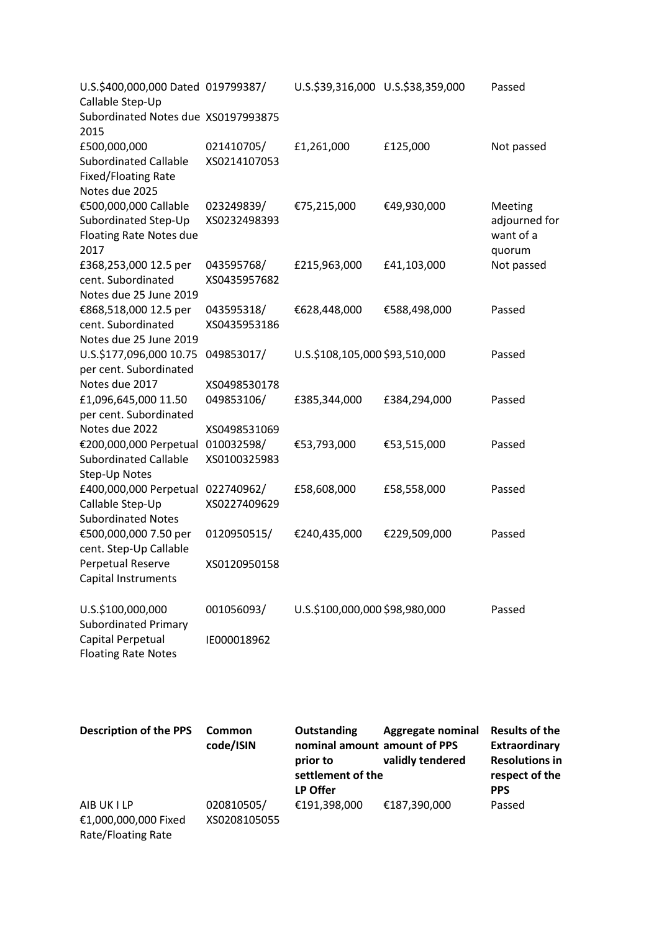| U.S.\$400,000,000 Dated 019799387/<br>Callable Step-Up<br>Subordinated Notes due XS0197993875 |              | U.S.\$39,316,000 U.S.\$38,359,000 |                          | Passed                       |
|-----------------------------------------------------------------------------------------------|--------------|-----------------------------------|--------------------------|------------------------------|
| 2015                                                                                          |              |                                   |                          |                              |
| £500,000,000                                                                                  | 021410705/   | £1,261,000                        | £125,000                 | Not passed                   |
| <b>Subordinated Callable</b>                                                                  | XS0214107053 |                                   |                          |                              |
| <b>Fixed/Floating Rate</b>                                                                    |              |                                   |                          |                              |
| Notes due 2025                                                                                |              |                                   |                          |                              |
| €500,000,000 Callable                                                                         | 023249839/   | €75,215,000                       | €49,930,000              | Meeting                      |
| Subordinated Step-Up<br>Floating Rate Notes due                                               | XS0232498393 |                                   |                          | adjourned for<br>want of a   |
| 2017                                                                                          |              |                                   |                          | quorum                       |
| £368,253,000 12.5 per                                                                         | 043595768/   | £215,963,000                      | £41,103,000              | Not passed                   |
| cent. Subordinated                                                                            | XS0435957682 |                                   |                          |                              |
| Notes due 25 June 2019                                                                        |              |                                   |                          |                              |
| €868,518,000 12.5 per                                                                         | 043595318/   | €628,448,000                      | €588,498,000             | Passed                       |
| cent. Subordinated                                                                            | XS0435953186 |                                   |                          |                              |
| Notes due 25 June 2019                                                                        |              |                                   |                          |                              |
| U.S.\$177,096,000 10.75                                                                       | 049853017/   | U.S.\$108,105,000 \$93,510,000    |                          | Passed                       |
| per cent. Subordinated                                                                        |              |                                   |                          |                              |
| Notes due 2017                                                                                | XS0498530178 |                                   |                          |                              |
| £1,096,645,000 11.50                                                                          | 049853106/   | £385,344,000                      | £384,294,000             | Passed                       |
| per cent. Subordinated                                                                        |              |                                   |                          |                              |
| Notes due 2022                                                                                | XS0498531069 |                                   |                          |                              |
| €200,000,000 Perpetual<br><b>Subordinated Callable</b>                                        | 010032598/   | €53,793,000                       | €53,515,000              | Passed                       |
| Step-Up Notes                                                                                 | XS0100325983 |                                   |                          |                              |
| £400,000,000 Perpetual                                                                        | 022740962/   | £58,608,000                       | £58,558,000              | Passed                       |
| Callable Step-Up                                                                              | XS0227409629 |                                   |                          |                              |
| <b>Subordinated Notes</b>                                                                     |              |                                   |                          |                              |
| €500,000,000 7.50 per                                                                         | 0120950515/  | €240,435,000                      | €229,509,000             | Passed                       |
| cent. Step-Up Callable                                                                        |              |                                   |                          |                              |
| Perpetual Reserve                                                                             | XS0120950158 |                                   |                          |                              |
| Capital Instruments                                                                           |              |                                   |                          |                              |
|                                                                                               |              |                                   |                          |                              |
| U.S.\$100,000,000                                                                             | 001056093/   | U.S.\$100,000,000 \$98,980,000    |                          | Passed                       |
| <b>Subordinated Primary</b>                                                                   |              |                                   |                          |                              |
| Capital Perpetual                                                                             | IE000018962  |                                   |                          |                              |
| <b>Floating Rate Notes</b>                                                                    |              |                                   |                          |                              |
|                                                                                               |              |                                   |                          |                              |
|                                                                                               |              |                                   |                          |                              |
|                                                                                               |              |                                   |                          |                              |
| <b>Description of the PPS</b>                                                                 | Common       | Outstanding                       | <b>Aggregate nominal</b> | <b>Results of the</b>        |
|                                                                                               | code/ISIN    | nominal amount amount of PPS      | validly tendered         | <b>Extraordinary</b>         |
|                                                                                               |              | prior to                          | <b>Resolutions in</b>    |                              |
|                                                                                               |              | settlement of the<br>LP Offer     |                          | respect of the<br><b>PPS</b> |
| AIB UK I LP                                                                                   | 020810505/   | €191,398,000                      | €187,390,000             | Passed                       |
| €1,000,000,000 Fixed                                                                          | XS0208105055 |                                   |                          |                              |
| Rate/Floating Rate                                                                            |              |                                   |                          |                              |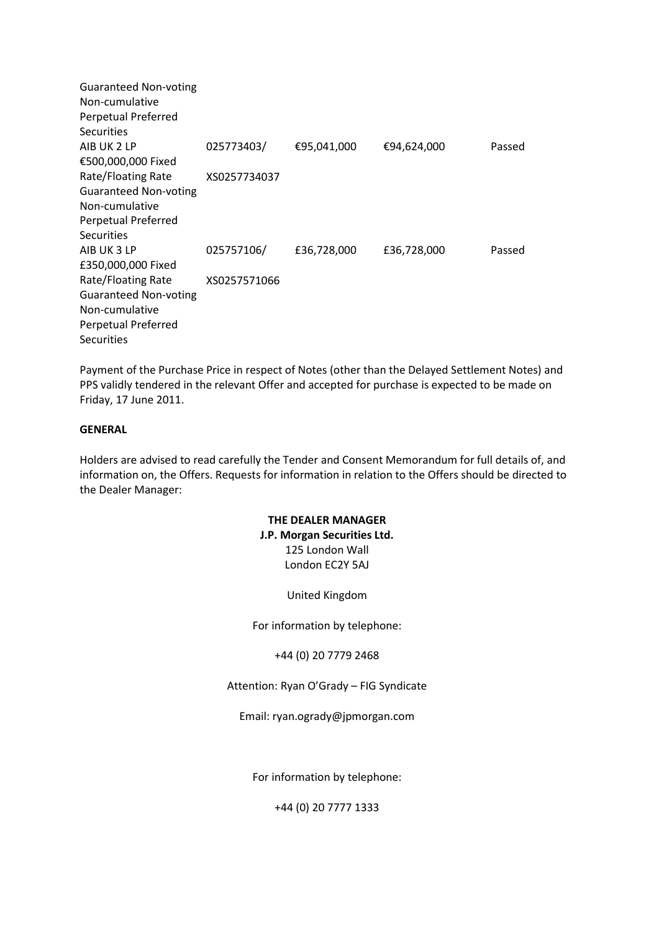Guaranteed Non-voting Non-cumulative Perpetual Preferred Securities AIB UK 2 LP €500,000,000 Fixed Rate/Floating Rate Guaranteed Non-voting Non-cumulative Perpetual Preferred **Securities** 025773403/ XS0257734037 €95,041,000 €94,624,000 Passed AIB UK 3 LP £350,000,000 Fixed Rate/Floating Rate Guaranteed Non-voting Non-cumulative Perpetual Preferred **Securities** 025757106/ XS0257571066 £36,728,000 £36,728,000 Passed

Payment of the Purchase Price in respect of Notes (other than the Delayed Settlement Notes) and PPS validly tendered in the relevant Offer and accepted for purchase is expected to be made on Friday, 17 June 2011.

### **GENERAL**

Holders are advised to read carefully the Tender and Consent Memorandum for full details of, and information on, the Offers. Requests for information in relation to the Offers should be directed to the Dealer Manager:

## **THE DEALER MANAGER J.P. Morgan Securities Ltd.** 125 London Wall London EC2Y 5AJ

United Kingdom

For information by telephone:

+44 (0) 20 7779 2468

Attention: Ryan O'Grady – FIG Syndicate

Email: ryan.ogrady@jpmorgan.com

For information by telephone:

+44 (0) 20 7777 1333